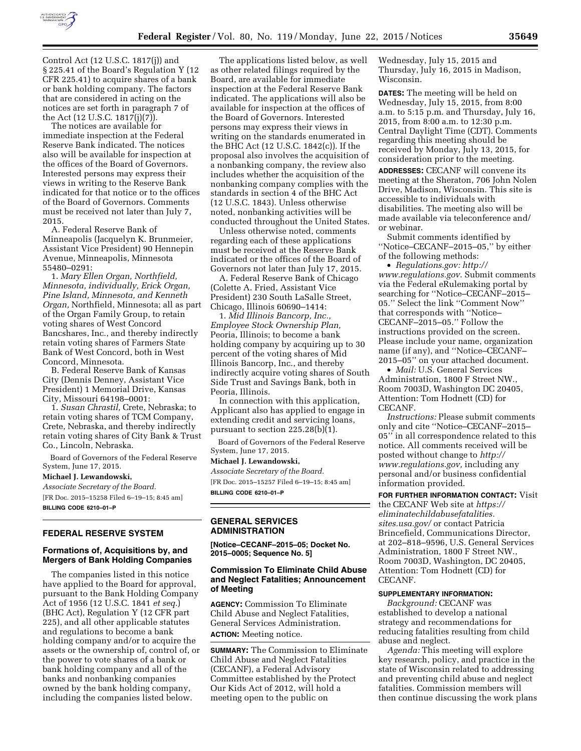

Control Act (12 U.S.C. 1817(j)) and § 225.41 of the Board's Regulation Y (12 CFR 225.41) to acquire shares of a bank or bank holding company. The factors that are considered in acting on the notices are set forth in paragraph 7 of the Act (12 U.S.C. 1817(j)(7)).

The notices are available for immediate inspection at the Federal Reserve Bank indicated. The notices also will be available for inspection at the offices of the Board of Governors. Interested persons may express their views in writing to the Reserve Bank indicated for that notice or to the offices of the Board of Governors. Comments must be received not later than July 7, 2015.

A. Federal Reserve Bank of Minneapolis (Jacquelyn K. Brunmeier, Assistant Vice President) 90 Hennepin Avenue, Minneapolis, Minnesota 55480–0291:

1. *Mary Ellen Organ, Northfield, Minnesota, individually, Erick Organ, Pine Island, Minnesota, and Kenneth Organ,* Northfield, Minnesota; all as part of the Organ Family Group, to retain voting shares of West Concord Bancshares, Inc., and thereby indirectly retain voting shares of Farmers State Bank of West Concord, both in West Concord, Minnesota.

B. Federal Reserve Bank of Kansas City (Dennis Denney, Assistant Vice President) 1 Memorial Drive, Kansas City, Missouri 64198–0001:

1. *Susan Chrastil,* Crete, Nebraska; to retain voting shares of TCM Company, Crete, Nebraska, and thereby indirectly retain voting shares of City Bank & Trust Co., Lincoln, Nebraska.

Board of Governors of the Federal Reserve System, June 17, 2015.

**Michael J. Lewandowski,** 

*Associate Secretary of the Board.* 

[FR Doc. 2015–15258 Filed 6–19–15; 8:45 am] **BILLING CODE 6210–01–P** 

## **FEDERAL RESERVE SYSTEM**

## **Formations of, Acquisitions by, and Mergers of Bank Holding Companies**

The companies listed in this notice have applied to the Board for approval, pursuant to the Bank Holding Company Act of 1956 (12 U.S.C. 1841 *et seq.*) (BHC Act), Regulation Y (12 CFR part 225), and all other applicable statutes and regulations to become a bank holding company and/or to acquire the assets or the ownership of, control of, or the power to vote shares of a bank or bank holding company and all of the banks and nonbanking companies owned by the bank holding company, including the companies listed below.

The applications listed below, as well as other related filings required by the Board, are available for immediate inspection at the Federal Reserve Bank indicated. The applications will also be available for inspection at the offices of the Board of Governors. Interested persons may express their views in writing on the standards enumerated in the BHC Act (12 U.S.C. 1842(c)). If the proposal also involves the acquisition of a nonbanking company, the review also includes whether the acquisition of the nonbanking company complies with the standards in section 4 of the BHC Act (12 U.S.C. 1843). Unless otherwise noted, nonbanking activities will be conducted throughout the United States.

Unless otherwise noted, comments regarding each of these applications must be received at the Reserve Bank indicated or the offices of the Board of Governors not later than July 17, 2015.

A. Federal Reserve Bank of Chicago (Colette A. Fried, Assistant Vice President) 230 South LaSalle Street, Chicago, Illinois 60690–1414:

1. *Mid Illinois Bancorp, Inc., Employee Stock Ownership Plan,*  Peoria, Illinois; to become a bank holding company by acquiring up to 30 percent of the voting shares of Mid Illinois Bancorp, Inc., and thereby indirectly acquire voting shares of South Side Trust and Savings Bank, both in Peoria, Illinois.

In connection with this application, Applicant also has applied to engage in extending credit and servicing loans, pursuant to section 225.28(b)(1).

Board of Governors of the Federal Reserve System, June 17, 2015.

#### **Michael J. Lewandowski,**

*Associate Secretary of the Board.*  [FR Doc. 2015–15257 Filed 6–19–15; 8:45 am] **BILLING CODE 6210–01–P** 

## **GENERAL SERVICES ADMINISTRATION**

**[Notice–CECANF–2015–05; Docket No. 2015–0005; Sequence No. 5]** 

## **Commission To Eliminate Child Abuse and Neglect Fatalities; Announcement of Meeting**

**AGENCY:** Commission To Eliminate Child Abuse and Neglect Fatalities, General Services Administration. **ACTION:** Meeting notice.

**SUMMARY:** The Commission to Eliminate Child Abuse and Neglect Fatalities (CECANF), a Federal Advisory Committee established by the Protect Our Kids Act of 2012, will hold a meeting open to the public on

Wednesday, July 15, 2015 and Thursday, July 16, 2015 in Madison, Wisconsin.

**DATES:** The meeting will be held on Wednesday, July 15, 2015, from 8:00 a.m. to 5:15 p.m. and Thursday, July 16, 2015, from 8:00 a.m. to 12:30 p.m. Central Daylight Time (CDT). Comments regarding this meeting should be received by Monday, July 13, 2015, for consideration prior to the meeting.

**ADDRESSES:** CECANF will convene its meeting at the Sheraton, 706 John Nolen Drive, Madison, Wisconsin. This site is accessible to individuals with disabilities. The meeting also will be made available via teleconference and/ or webinar.

Submit comments identified by ''Notice–CECANF–2015–05,'' by either of the following methods:

• *Regulations.gov: [http://](http://www.regulations.gov) [www.regulations.gov](http://www.regulations.gov)*. Submit comments via the Federal eRulemaking portal by searching for ''Notice–CECANF–2015– 05.'' Select the link ''Comment Now'' that corresponds with ''Notice– CECANF–2015–05.'' Follow the instructions provided on the screen. Please include your name, organization name (if any), and ''Notice–CECANF– 2015–05'' on your attached document.

• *Mail:* U.S. General Services Administration, 1800 F Street NW., Room 7003D, Washington DC 20405, Attention: Tom Hodnett (CD) for CECANF.

*Instructions:* Please submit comments only and cite ''Notice–CECANF–2015– 05'' in all correspondence related to this notice. All comments received will be posted without change to *[http://](http://www.regulations.gov) [www.regulations.gov,](http://www.regulations.gov)* including any personal and/or business confidential information provided.

**FOR FURTHER INFORMATION CONTACT:** Visit the CECANF Web site at *[https://](https://eliminatechildabusefatalities.sites.usa.gov/) [eliminatechildabusefatalities.](https://eliminatechildabusefatalities.sites.usa.gov/) [sites.usa.gov/](https://eliminatechildabusefatalities.sites.usa.gov/)* or contact Patricia Brincefield, Communications Director, at 202–818–9596, U.S. General Services Administration, 1800 F Street NW., Room 7003D, Washington, DC 20405, Attention: Tom Hodnett (CD) for CECANF.

# **SUPPLEMENTARY INFORMATION:**

*Background:* CECANF was established to develop a national strategy and recommendations for reducing fatalities resulting from child abuse and neglect.

*Agenda:* This meeting will explore key research, policy, and practice in the state of Wisconsin related to addressing and preventing child abuse and neglect fatalities. Commission members will then continue discussing the work plans